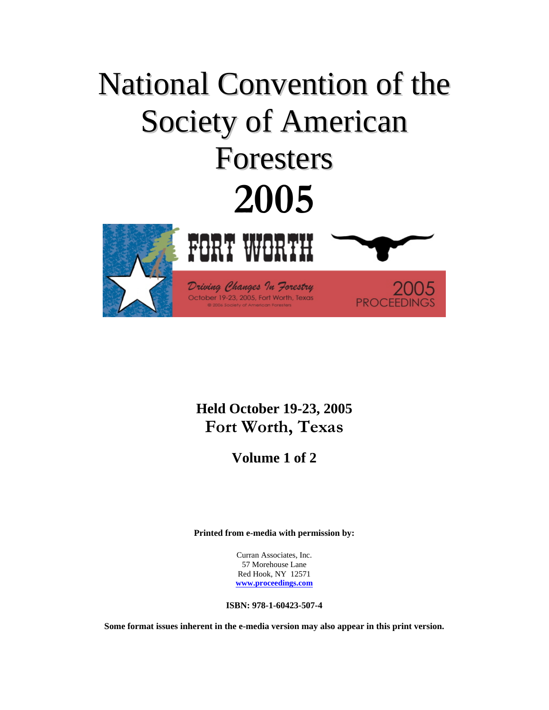# National Convention of the Society of American Foresters **2005**  FORT WORTH

Driving Changes In Forestry October 19-23, 2005, Fort Worth, Texas



**PROCEEDIN** 

**Volume 1 of 2** 

**Printed from e-media with permission by:** 

Curran Associates, Inc. 57 Morehouse Lane Red Hook, NY 12571 **www.proceedings.com**

**ISBN: 978-1-60423-507-4** 

**Some format issues inherent in the e-media version may also appear in this print version.**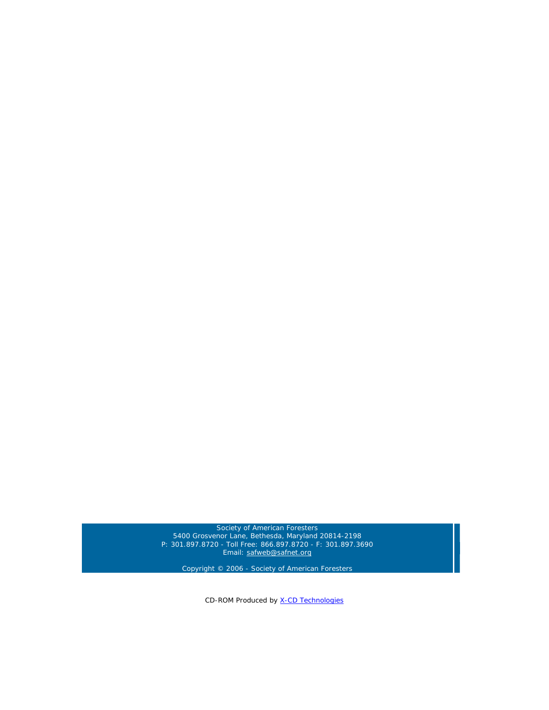Society of American Foresters 5400 Grosvenor Lane, Bethesda, Maryland 20814-2198 P: 301.897.8720 - Toll Free: 866.897.8720 - F: 301.897.3690 Email: safweb@safnet.org

Copyright © 2006 - Society of American Foresters

CD-ROM Produced by X-CD Technologies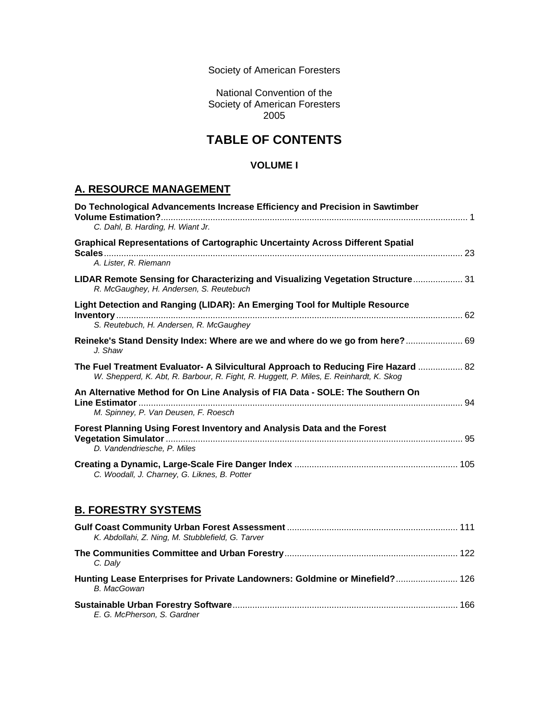Society of American Foresters

National Convention of the Society of American Foresters 2005

# **TABLE OF CONTENTS**

#### **VOLUME I**

## **A. RESOURCE MANAGEMENT**

| Do Technological Advancements Increase Efficiency and Precision in Sawtimber<br>C. Dahl, B. Harding, H. Wiant Jr.                                                            |  |
|------------------------------------------------------------------------------------------------------------------------------------------------------------------------------|--|
| <b>Graphical Representations of Cartographic Uncertainty Across Different Spatial</b><br>A. Lister, R. Riemann                                                               |  |
| LIDAR Remote Sensing for Characterizing and Visualizing Vegetation Structure 31<br>R. McGaughey, H. Andersen, S. Reutebuch                                                   |  |
| Light Detection and Ranging (LIDAR): An Emerging Tool for Multiple Resource<br>S. Reutebuch, H. Andersen, R. McGaughey                                                       |  |
| Reineke's Stand Density Index: Where are we and where do we go from here? 69<br>J. Shaw                                                                                      |  |
| The Fuel Treatment Evaluator- A Silvicultural Approach to Reducing Fire Hazard  82<br>W. Shepperd, K. Abt, R. Barbour, R. Fight, R. Huggett, P. Miles, E. Reinhardt, K. Skog |  |
| An Alternative Method for On Line Analysis of FIA Data - SOLE: The Southern On<br>M. Spinney, P. Van Deusen, F. Roesch                                                       |  |
| Forest Planning Using Forest Inventory and Analysis Data and the Forest<br>D. Vandendriesche. P. Miles                                                                       |  |
| C. Woodall, J. Charney, G. Liknes, B. Potter                                                                                                                                 |  |

#### **B. FORESTRY SYSTEMS**

| K. Abdollahi, Z. Ning, M. Stubblefield, G. Tarver                                           |     |
|---------------------------------------------------------------------------------------------|-----|
| C. Dalv                                                                                     |     |
| Hunting Lease Enterprises for Private Landowners: Goldmine or Minefield? 126<br>B. MacGowan |     |
| E. G. McPherson. S. Gardner                                                                 | 166 |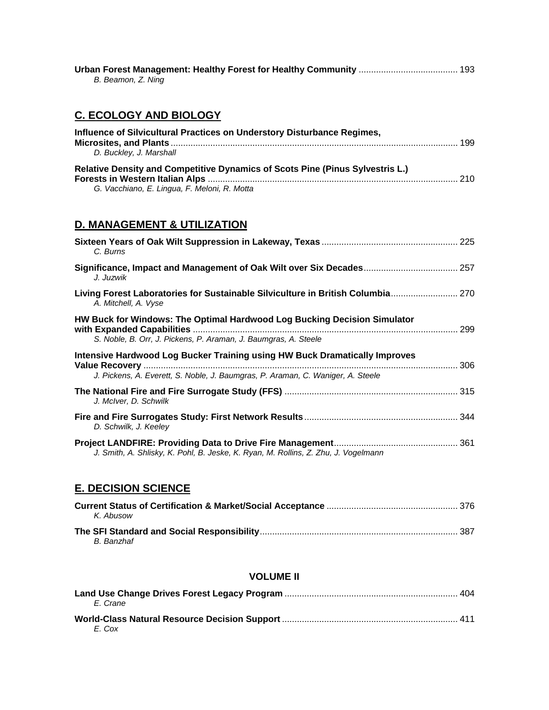| B. Beamon, Z. Ning |  |
|--------------------|--|

# **C. ECOLOGY AND BIOLOGY**

| Influence of Silvicultural Practices on Understory Disturbance Regimes,              |  |
|--------------------------------------------------------------------------------------|--|
| D. Buckley, J. Marshall                                                              |  |
| <b>Relative Density and Competitive Dynamics of Scots Pine (Pinus Sylvestris L.)</b> |  |
|                                                                                      |  |
| G. Vacchiano, E. Lingua, F. Meloni, R. Motta                                         |  |

# **D. MANAGEMENT & UTILIZATION**

| C. Burns                                                                                                                                                      |  |
|---------------------------------------------------------------------------------------------------------------------------------------------------------------|--|
| Significance, Impact and Management of Oak Wilt over Six Decades 257<br>J. Juzwik                                                                             |  |
| Living Forest Laboratories for Sustainable Silviculture in British Columbia 270<br>A. Mitchell, A. Vyse                                                       |  |
| HW Buck for Windows: The Optimal Hardwood Log Bucking Decision Simulator<br>S. Noble, B. Orr, J. Pickens, P. Araman, J. Baumgras, A. Steele                   |  |
| Intensive Hardwood Log Bucker Training using HW Buck Dramatically Improves<br>J. Pickens, A. Everett, S. Noble, J. Baumgras, P. Araman, C. Waniger, A. Steele |  |
| J. McIver, D. Schwilk                                                                                                                                         |  |
| D. Schwilk, J. Keeley                                                                                                                                         |  |
| J. Smith, A. Shlisky, K. Pohl, B. Jeske, K. Ryan, M. Rollins, Z. Zhu, J. Vogelmann                                                                            |  |

#### **E. DECISION SCIENCE**

| K. Abusow  |  |
|------------|--|
| B. Banzhaf |  |

#### **VOLUME II**

| F. Crane |  |
|----------|--|
| E. Cox   |  |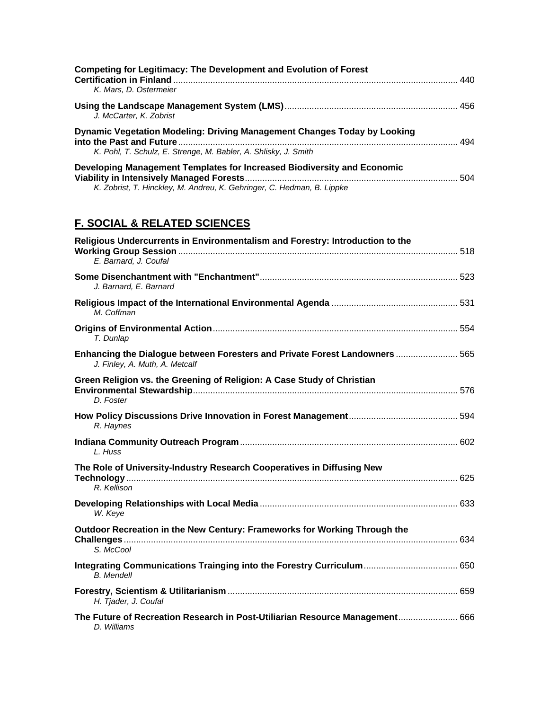| <b>Competing for Legitimacy: The Development and Evolution of Forest</b><br>K. Mars, D. Ostermeier                                                |  |
|---------------------------------------------------------------------------------------------------------------------------------------------------|--|
| J. McCarter, K. Zobrist                                                                                                                           |  |
| Dynamic Vegetation Modeling: Driving Management Changes Today by Looking<br>K. Pohl, T. Schulz, E. Strenge, M. Babler, A. Shlisky, J. Smith       |  |
| Developing Management Templates for Increased Biodiversity and Economic<br>K. Zobrist, T. Hinckley, M. Andreu, K. Gehringer, C. Hedman, B. Lippke |  |

# **F. SOCIAL & RELATED SCIENCES**

| Religious Undercurrents in Environmentalism and Forestry: Introduction to the                                 |  |
|---------------------------------------------------------------------------------------------------------------|--|
| E. Barnard, J. Coufal                                                                                         |  |
| J. Barnard, E. Barnard                                                                                        |  |
| M. Coffman                                                                                                    |  |
| T. Dunlap                                                                                                     |  |
| Enhancing the Dialogue between Foresters and Private Forest Landowners  565<br>J. Finley, A. Muth, A. Metcalf |  |
| Green Religion vs. the Greening of Religion: A Case Study of Christian<br>D. Foster                           |  |
| R. Haynes                                                                                                     |  |
| L. Huss                                                                                                       |  |
| The Role of University-Industry Research Cooperatives in Diffusing New<br>R. Kellison                         |  |
| W. Keye                                                                                                       |  |
| Outdoor Recreation in the New Century: Frameworks for Working Through the<br>S. McCool                        |  |
| <b>B.</b> Mendell                                                                                             |  |
| H. Tjader, J. Coufal                                                                                          |  |
| The Future of Recreation Research in Post-Utiliarian Resource Management 666<br>D. Williams                   |  |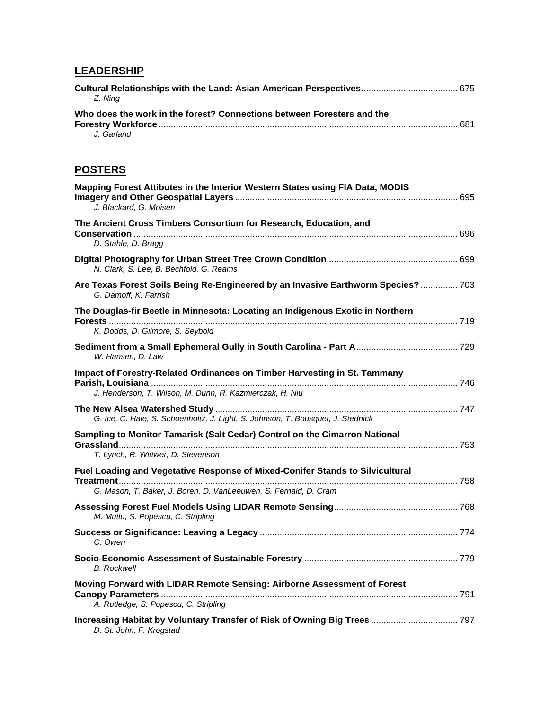## **LEADERSHIP**

| Z. Nina                                                                |  |
|------------------------------------------------------------------------|--|
| Who does the work in the forest? Connections between Foresters and the |  |
|                                                                        |  |
| J. Garland                                                             |  |

## **POSTERS**

| Mapping Forest Attibutes in the Interior Western States using FIA Data, MODIS<br>J. Blackard, G. Moisen                                           |  |
|---------------------------------------------------------------------------------------------------------------------------------------------------|--|
| The Ancient Cross Timbers Consortium for Research, Education, and<br>D. Stahle, D. Bragg                                                          |  |
| N. Clark, S. Lee, B. Bechfold, G. Reams                                                                                                           |  |
| Are Texas Forest Soils Being Re-Engineered by an Invasive Earthworm Species? 703<br>G. Damoff, K. Farrish                                         |  |
| The Douglas-fir Beetle in Minnesota: Locating an Indigenous Exotic in Northern<br>K. Dodds, D. Gilmore, S. Seybold                                |  |
| W. Hansen, D. Law                                                                                                                                 |  |
| Impact of Forestry-Related Ordinances on Timber Harvesting in St. Tammany<br>J. Henderson, T. Wilson, M. Dunn, R. Kazmierczak, H. Niu             |  |
| G. Ice, C. Hale, S. Schoenholtz, J. Light, S. Johnson, T. Bousquet, J. Stednick                                                                   |  |
| Sampling to Monitor Tamarisk (Salt Cedar) Control on the Cimarron National<br>T. Lynch, R. Wittwer, D. Stevenson                                  |  |
| Fuel Loading and Vegetative Response of Mixed-Conifer Stands to Silvicultural<br>G. Mason, T. Baker, J. Boren, D. VanLeeuwen, S. Fernald, D. Cram |  |
| M. Mutlu, S. Popescu, C. Stripling                                                                                                                |  |
| C. Owen                                                                                                                                           |  |
| <b>B.</b> Rockwell                                                                                                                                |  |
| Moving Forward with LIDAR Remote Sensing: Airborne Assessment of Forest<br>A. Rutledge, S. Popescu, C. Stripling                                  |  |
| D. St. John, F. Krogstad                                                                                                                          |  |